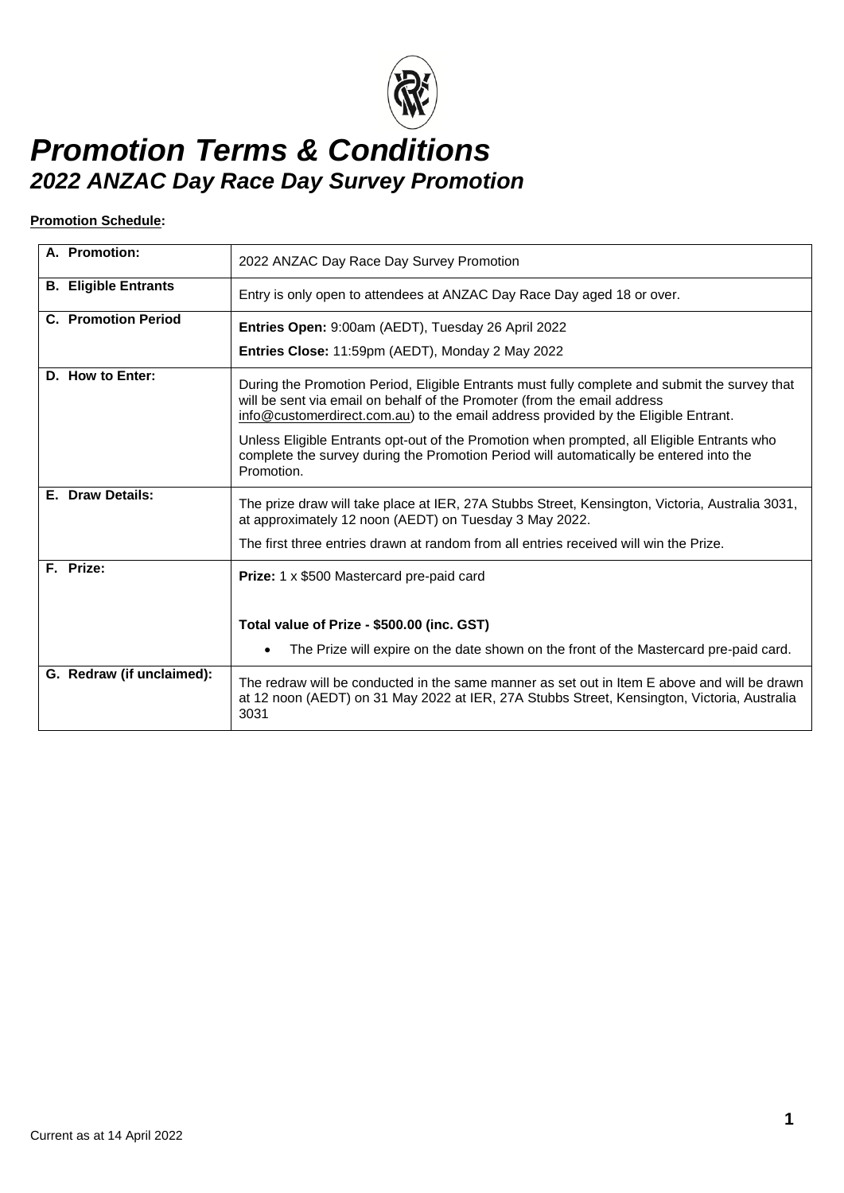

#### **Promotion Schedule:**

| A. Promotion:               | 2022 ANZAC Day Race Day Survey Promotion                                                                                                                                                                                                                        |
|-----------------------------|-----------------------------------------------------------------------------------------------------------------------------------------------------------------------------------------------------------------------------------------------------------------|
| <b>B. Eligible Entrants</b> | Entry is only open to attendees at ANZAC Day Race Day aged 18 or over.                                                                                                                                                                                          |
| <b>C. Promotion Period</b>  | Entries Open: 9:00am (AEDT), Tuesday 26 April 2022                                                                                                                                                                                                              |
|                             | Entries Close: 11:59pm (AEDT), Monday 2 May 2022                                                                                                                                                                                                                |
| D. How to Enter:            | During the Promotion Period, Eligible Entrants must fully complete and submit the survey that<br>will be sent via email on behalf of the Promoter (from the email address<br>info@customerdirect.com.au) to the email address provided by the Eligible Entrant. |
|                             | Unless Eligible Entrants opt-out of the Promotion when prompted, all Eligible Entrants who<br>complete the survey during the Promotion Period will automatically be entered into the<br>Promotion.                                                              |
| E. Draw Details:            | The prize draw will take place at IER, 27A Stubbs Street, Kensington, Victoria, Australia 3031,<br>at approximately 12 noon (AEDT) on Tuesday 3 May 2022.                                                                                                       |
|                             | The first three entries drawn at random from all entries received will win the Prize.                                                                                                                                                                           |
| F. Prize:                   | <b>Prize:</b> 1 x \$500 Mastercard pre-paid card                                                                                                                                                                                                                |
|                             | Total value of Prize - \$500.00 (inc. GST)                                                                                                                                                                                                                      |
|                             | The Prize will expire on the date shown on the front of the Mastercard pre-paid card.<br>$\bullet$                                                                                                                                                              |
| G. Redraw (if unclaimed):   | The redraw will be conducted in the same manner as set out in Item E above and will be drawn<br>at 12 noon (AEDT) on 31 May 2022 at IER, 27A Stubbs Street, Kensington, Victoria, Australia<br>3031                                                             |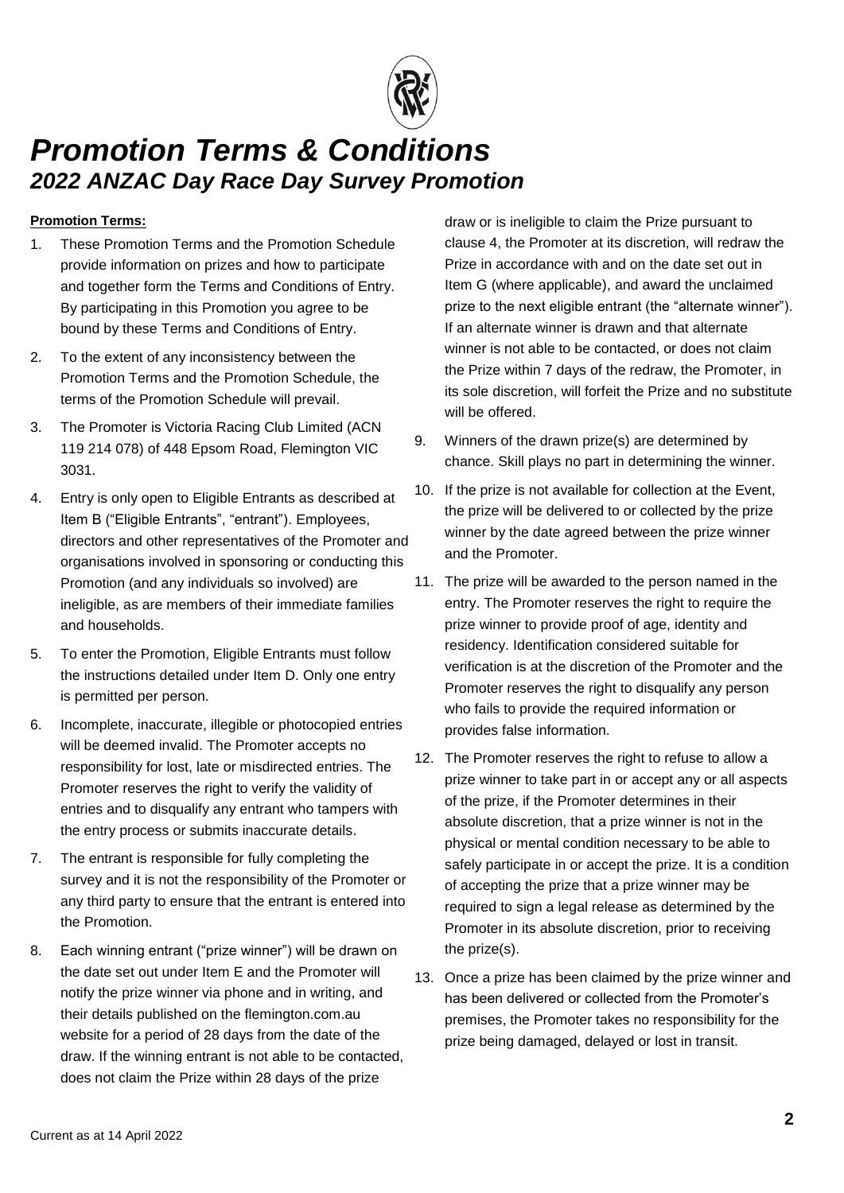

### **Promotion Terms:**

- 1. These Promotion Terms and the Promotion Schedule provide information on prizes and how to participate and together form the Terms and Conditions of Entry. By participating in this Promotion you agree to be bound by these Terms and Conditions of Entry.
- 2. To the extent of any inconsistency between the Promotion Terms and the Promotion Schedule, the terms of the Promotion Schedule will prevail.
- 3. The Promoter is Victoria Racing Club Limited (ACN 119 214 078) of 448 Epsom Road, Flemington VIC 3031.
- <span id="page-1-0"></span>4. Entry is only open to Eligible Entrants as described at Item B ("Eligible Entrants", "entrant"). Employees, directors and other representatives of the Promoter and organisations involved in sponsoring or conducting this Promotion (and any individuals so involved) are ineligible, as are members of their immediate families and households.
- 5. To enter the Promotion, Eligible Entrants must follow the instructions detailed under Item D. Only one entry is permitted per person.
- 6. Incomplete, inaccurate, illegible or photocopied entries will be deemed invalid. The Promoter accepts no responsibility for lost, late or misdirected entries. The Promoter reserves the right to verify the validity of entries and to disqualify any entrant who tampers with the entry process or submits inaccurate details.
- 7. The entrant is responsible for fully completing the survey and it is not the responsibility of the Promoter or any third party to ensure that the entrant is entered into the Promotion.
- 8. Each winning entrant ("prize winner") will be drawn on the date set out under Item E and the Promoter will notify the prize winner via phone and in writing, and their details published on the flemington.com.au website for a period of 28 days from the date of the draw. If the winning entrant is not able to be contacted, does not claim the Prize within 28 days of the prize

draw or is ineligible to claim the Prize pursuant to clause [4,](#page-1-0) the Promoter at its discretion, will redraw the Prize in accordance with and on the date set out in Item G (where applicable), and award the unclaimed prize to the next eligible entrant (the "alternate winner"). If an alternate winner is drawn and that alternate winner is not able to be contacted, or does not claim the Prize within 7 days of the redraw, the Promoter, in its sole discretion, will forfeit the Prize and no substitute will be offered.

- 9. Winners of the drawn prize(s) are determined by chance. Skill plays no part in determining the winner.
- 10. If the prize is not available for collection at the Event, the prize will be delivered to or collected by the prize winner by the date agreed between the prize winner and the Promoter.
- 11. The prize will be awarded to the person named in the entry. The Promoter reserves the right to require the prize winner to provide proof of age, identity and residency. Identification considered suitable for verification is at the discretion of the Promoter and the Promoter reserves the right to disqualify any person who fails to provide the required information or provides false information.
- 12. The Promoter reserves the right to refuse to allow a prize winner to take part in or accept any or all aspects of the prize, if the Promoter determines in their absolute discretion, that a prize winner is not in the physical or mental condition necessary to be able to safely participate in or accept the prize. It is a condition of accepting the prize that a prize winner may be required to sign a legal release as determined by the Promoter in its absolute discretion, prior to receiving the prize(s).
- 13. Once a prize has been claimed by the prize winner and has been delivered or collected from the Promoter's premises, the Promoter takes no responsibility for the prize being damaged, delayed or lost in transit.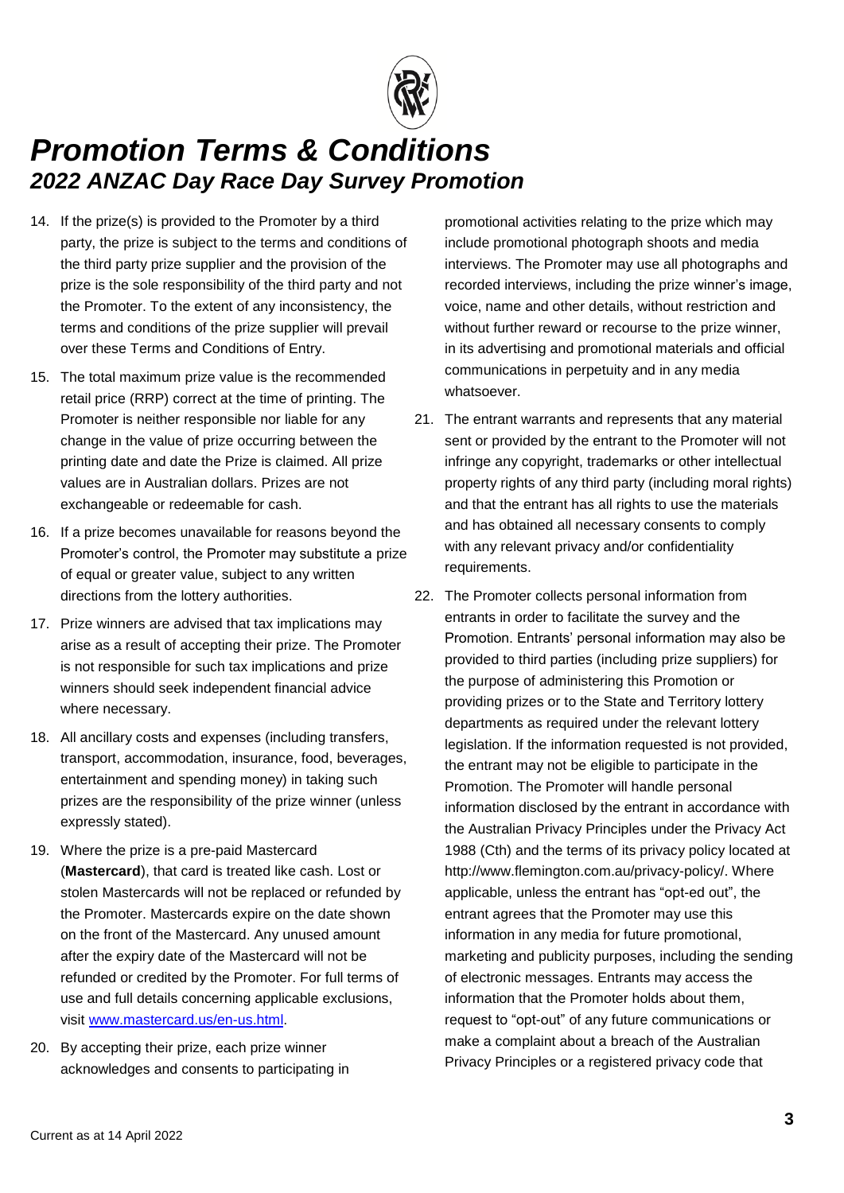

- 14. If the prize(s) is provided to the Promoter by a third party, the prize is subject to the terms and conditions of the third party prize supplier and the provision of the prize is the sole responsibility of the third party and not the Promoter. To the extent of any inconsistency, the terms and conditions of the prize supplier will prevail over these Terms and Conditions of Entry.
- 15. The total maximum prize value is the recommended retail price (RRP) correct at the time of printing. The Promoter is neither responsible nor liable for any change in the value of prize occurring between the printing date and date the Prize is claimed. All prize values are in Australian dollars. Prizes are not exchangeable or redeemable for cash.
- 16. If a prize becomes unavailable for reasons beyond the Promoter's control, the Promoter may substitute a prize of equal or greater value, subject to any written directions from the lottery authorities.
- 17. Prize winners are advised that tax implications may arise as a result of accepting their prize. The Promoter is not responsible for such tax implications and prize winners should seek independent financial advice where necessary.
- 18. All ancillary costs and expenses (including transfers, transport, accommodation, insurance, food, beverages, entertainment and spending money) in taking such prizes are the responsibility of the prize winner (unless expressly stated).
- 19. Where the prize is a pre-paid Mastercard (**Mastercard**), that card is treated like cash. Lost or stolen Mastercards will not be replaced or refunded by the Promoter. Mastercards expire on the date shown on the front of the Mastercard. Any unused amount after the expiry date of the Mastercard will not be refunded or credited by the Promoter. For full terms of use and full details concerning applicable exclusions, visit [www.mastercard.us/en-us.html.](http://www.mastercard.us/en-us.html)
- 20. By accepting their prize, each prize winner acknowledges and consents to participating in

promotional activities relating to the prize which may include promotional photograph shoots and media interviews. The Promoter may use all photographs and recorded interviews, including the prize winner's image, voice, name and other details, without restriction and without further reward or recourse to the prize winner, in its advertising and promotional materials and official communications in perpetuity and in any media whatsoever.

- 21. The entrant warrants and represents that any material sent or provided by the entrant to the Promoter will not infringe any copyright, trademarks or other intellectual property rights of any third party (including moral rights) and that the entrant has all rights to use the materials and has obtained all necessary consents to comply with any relevant privacy and/or confidentiality requirements.
- 22. The Promoter collects personal information from entrants in order to facilitate the survey and the Promotion. Entrants' personal information may also be provided to third parties (including prize suppliers) for the purpose of administering this Promotion or providing prizes or to the State and Territory lottery departments as required under the relevant lottery legislation. If the information requested is not provided, the entrant may not be eligible to participate in the Promotion. The Promoter will handle personal information disclosed by the entrant in accordance with the Australian Privacy Principles under the Privacy Act 1988 (Cth) and the terms of its privacy policy located at http://www.flemington.com.au/privacy-policy/. Where applicable, unless the entrant has "opt-ed out", the entrant agrees that the Promoter may use this information in any media for future promotional, marketing and publicity purposes, including the sending of electronic messages. Entrants may access the information that the Promoter holds about them, request to "opt-out" of any future communications or make a complaint about a breach of the Australian Privacy Principles or a registered privacy code that